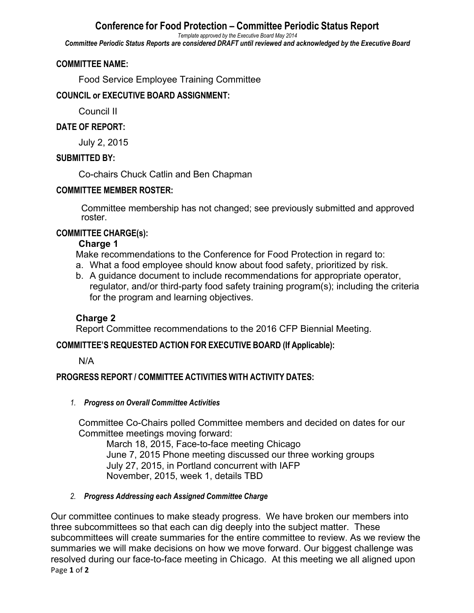# **Conference for Food Protection – Committee Periodic Status Report**

*Template approved by the Executive Board May 2014*

*Committee Periodic Status Reports are considered DRAFT until reviewed and acknowledged by the Executive Board*

#### **COMMITTEE NAME:**

Food Service Employee Training Committee

#### **COUNCIL or EXECUTIVE BOARD ASSIGNMENT:**

Council II

#### **DATE OF REPORT:**

July 2, 2015

#### **SUBMITTED BY:**

Co-chairs Chuck Catlin and Ben Chapman

### **COMMITTEE MEMBER ROSTER:**

Committee membership has not changed; see previously submitted and approved roster.

### **COMMITTEE CHARGE(s):**

### **Charge 1**

Make recommendations to the Conference for Food Protection in regard to:

- a. What a food employee should know about food safety, prioritized by risk.
- b. A guidance document to include recommendations for appropriate operator, regulator, and/or third-party food safety training program(s); including the criteria for the program and learning objectives.

## **Charge 2**

Report Committee recommendations to the 2016 CFP Biennial Meeting.

## **COMMITTEE'S REQUESTED ACTION FOR EXECUTIVE BOARD (If Applicable):**

N/A

## **PROGRESS REPORT / COMMITTEE ACTIVITIES WITH ACTIVITY DATES:**

#### *1. Progress on Overall Committee Activities*

Committee Co-Chairs polled Committee members and decided on dates for our Committee meetings moving forward:

March 18, 2015, Face-to-face meeting Chicago June 7, 2015 Phone meeting discussed our three working groups July 27, 2015, in Portland concurrent with IAFP November, 2015, week 1, details TBD

#### *2. Progress Addressing each Assigned Committee Charge*

Page **1** of **2** Our committee continues to make steady progress. We have broken our members into three subcommittees so that each can dig deeply into the subject matter. These subcommittees will create summaries for the entire committee to review. As we review the summaries we will make decisions on how we move forward. Our biggest challenge was resolved during our face-to-face meeting in Chicago. At this meeting we all aligned upon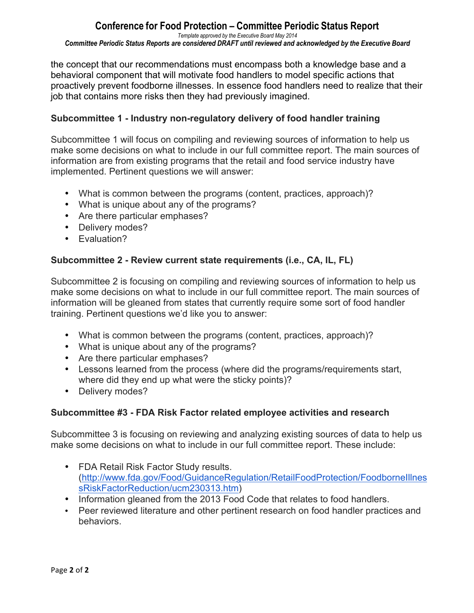#### **Conference for Food Protection – Committee Periodic Status Report** *Template approved by the Executive Board May 2014 Committee Periodic Status Reports are considered DRAFT until reviewed and acknowledged by the Executive Board*

the concept that our recommendations must encompass both a knowledge base and a behavioral component that will motivate food handlers to model specific actions that proactively prevent foodborne illnesses. In essence food handlers need to realize that their job that contains more risks then they had previously imagined.

#### **Subcommittee 1 - Industry non-regulatory delivery of food handler training**

Subcommittee 1 will focus on compiling and reviewing sources of information to help us make some decisions on what to include in our full committee report. The main sources of information are from existing programs that the retail and food service industry have implemented. Pertinent questions we will answer:

- What is common between the programs (content, practices, approach)?
- What is unique about any of the programs?
- Are there particular emphases?
- Delivery modes?
- Evaluation?

### **Subcommittee 2 - Review current state requirements (i.e., CA, IL, FL)**

Subcommittee 2 is focusing on compiling and reviewing sources of information to help us make some decisions on what to include in our full committee report. The main sources of information will be gleaned from states that currently require some sort of food handler training. Pertinent questions we'd like you to answer:

- What is common between the programs (content, practices, approach)?
- What is unique about any of the programs?
- Are there particular emphases?
- Lessons learned from the process (where did the programs/requirements start, where did they end up what were the sticky points)?
- Delivery modes?

#### **Subcommittee #3 - FDA Risk Factor related employee activities and research**

Subcommittee 3 is focusing on reviewing and analyzing existing sources of data to help us make some decisions on what to include in our full committee report. These include:

- FDA Retail Risk Factor Study results. (http://www.fda.gov/Food/GuidanceRegulation/RetailFoodProtection/FoodborneIllnes sRiskFactorReduction/ucm230313.htm)
- Information gleaned from the 2013 Food Code that relates to food handlers.
- Peer reviewed literature and other pertinent research on food handler practices and behaviors.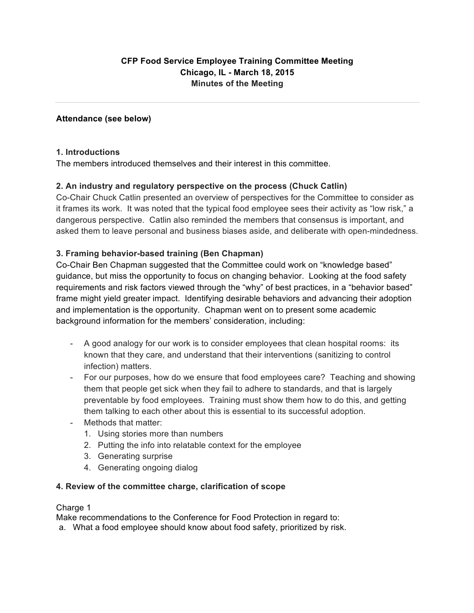#### **Attendance (see below)**

#### **1. Introductions**

The members introduced themselves and their interest in this committee.

### **2. An industry and regulatory perspective on the process (Chuck Catlin)**

Co-Chair Chuck Catlin presented an overview of perspectives for the Committee to consider as it frames its work. It was noted that the typical food employee sees their activity as "low risk," a dangerous perspective. Catlin also reminded the members that consensus is important, and asked them to leave personal and business biases aside, and deliberate with open-mindedness.

### **3. Framing behavior-based training (Ben Chapman)**

Co-Chair Ben Chapman suggested that the Committee could work on "knowledge based" guidance, but miss the opportunity to focus on changing behavior. Looking at the food safety requirements and risk factors viewed through the "why" of best practices, in a "behavior based" frame might yield greater impact. Identifying desirable behaviors and advancing their adoption and implementation is the opportunity. Chapman went on to present some academic background information for the members' consideration, including:

- A good analogy for our work is to consider employees that clean hospital rooms: its known that they care, and understand that their interventions (sanitizing to control infection) matters.
- For our purposes, how do we ensure that food employees care? Teaching and showing them that people get sick when they fail to adhere to standards, and that is largely preventable by food employees. Training must show them how to do this, and getting them talking to each other about this is essential to its successful adoption.
- Methods that matter:
	- 1. Using stories more than numbers
	- 2. Putting the info into relatable context for the employee
	- 3. Generating surprise
	- 4. Generating ongoing dialog

#### **4. Review of the committee charge, clarification of scope**

#### Charge 1

Make recommendations to the Conference for Food Protection in regard to:

a. What a food employee should know about food safety, prioritized by risk.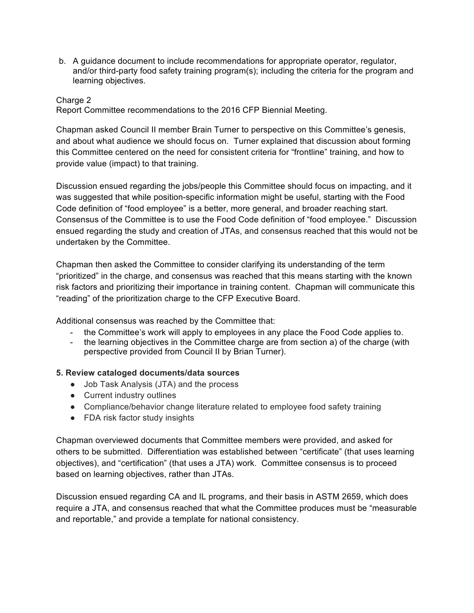b. A guidance document to include recommendations for appropriate operator, regulator, and/or third-party food safety training program(s); including the criteria for the program and learning objectives.

#### Charge 2

Report Committee recommendations to the 2016 CFP Biennial Meeting.

Chapman asked Council II member Brain Turner to perspective on this Committee's genesis, and about what audience we should focus on. Turner explained that discussion about forming this Committee centered on the need for consistent criteria for "frontline" training, and how to provide value (impact) to that training.

Discussion ensued regarding the jobs/people this Committee should focus on impacting, and it was suggested that while position-specific information might be useful, starting with the Food Code definition of "food employee" is a better, more general, and broader reaching start. Consensus of the Committee is to use the Food Code definition of "food employee." Discussion ensued regarding the study and creation of JTAs, and consensus reached that this would not be undertaken by the Committee.

Chapman then asked the Committee to consider clarifying its understanding of the term "prioritized" in the charge, and consensus was reached that this means starting with the known risk factors and prioritizing their importance in training content. Chapman will communicate this "reading" of the prioritization charge to the CFP Executive Board.

Additional consensus was reached by the Committee that:

- the Committee's work will apply to employees in any place the Food Code applies to.
- the learning objectives in the Committee charge are from section a) of the charge (with perspective provided from Council II by Brian Turner).

#### **5. Review cataloged documents/data sources**

- Job Task Analysis (JTA) and the process
- Current industry outlines
- Compliance/behavior change literature related to employee food safety training
- FDA risk factor study insights

Chapman overviewed documents that Committee members were provided, and asked for others to be submitted. Differentiation was established between "certificate" (that uses learning objectives), and "certification" (that uses a JTA) work. Committee consensus is to proceed based on learning objectives, rather than JTAs.

Discussion ensued regarding CA and IL programs, and their basis in ASTM 2659, which does require a JTA, and consensus reached that what the Committee produces must be "measurable and reportable," and provide a template for national consistency.